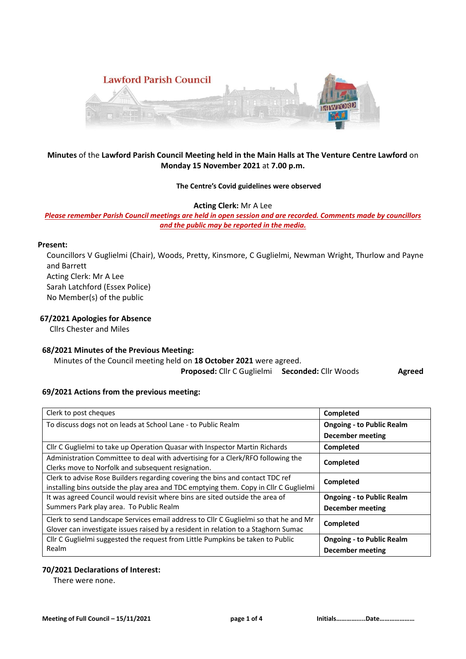

# **Minutes** of the **Lawford Parish Council Meeting held in the Main Halls at The Venture Centre Lawford** on **Monday 15 November 2021** at **7.00 p.m.**

### **The Centre's Covid guidelines were observed**

#### **Acting Clerk:** Mr A Lee

*Please remember Parish Council meetings are held in open session and are recorded. Comments made by councillors and the public may be reported in the media.* 

### **Present:**

Councillors V Guglielmi (Chair), Woods, Pretty, Kinsmore, C Guglielmi, Newman Wright, Thurlow and Payne and Barrett Acting Clerk: Mr A Lee Sarah Latchford (Essex Police) No Member(s) of the public

### **67/2021 Apologies for Absence**

Cllrs Chester and Miles

## **68/2021 Minutes of the Previous Meeting:**

 Minutes of the Council meeting held on **18 October 2021** were agreed. **Proposed:** Cllr C Guglielmi **Seconded:** Cllr Woods **Agreed** 

#### **69/2021 Actions from the previous meeting:**

| Clerk to post cheques                                                                                                                 | Completed                        |
|---------------------------------------------------------------------------------------------------------------------------------------|----------------------------------|
| To discuss dogs not on leads at School Lane - to Public Realm                                                                         | <b>Ongoing - to Public Realm</b> |
|                                                                                                                                       | December meeting                 |
| Cllr C Guglielmi to take up Operation Quasar with Inspector Martin Richards                                                           | Completed                        |
| Administration Committee to deal with advertising for a Clerk/RFO following the<br>Clerks move to Norfolk and subsequent resignation. | Completed                        |
| Clerk to advise Rose Builders regarding covering the bins and contact TDC ref                                                         | Completed                        |
| installing bins outside the play area and TDC emptying them. Copy in Cllr C Guglielmi                                                 |                                  |
| It was agreed Council would revisit where bins are sited outside the area of                                                          | <b>Ongoing - to Public Realm</b> |
| Summers Park play area. To Public Realm                                                                                               | December meeting                 |
| Clerk to send Landscape Services email address to Cllr C Guglielmi so that he and Mr                                                  | Completed                        |
| Glover can investigate issues raised by a resident in relation to a Staghorn Sumac                                                    |                                  |
| Cllr C Guglielmi suggested the request from Little Pumpkins be taken to Public                                                        | <b>Ongoing - to Public Realm</b> |
| Realm                                                                                                                                 | <b>December meeting</b>          |

# **70/2021 Declarations of Interest:**

There were none.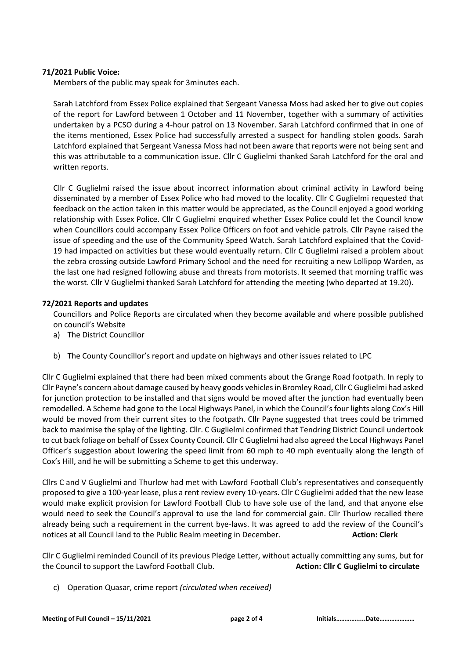# **71/2021 Public Voice:**

Members of the public may speak for 3minutes each.

Sarah Latchford from Essex Police explained that Sergeant Vanessa Moss had asked her to give out copies of the report for Lawford between 1 October and 11 November, together with a summary of activities undertaken by a PCSO during a 4-hour patrol on 13 November. Sarah Latchford confirmed that in one of the items mentioned, Essex Police had successfully arrested a suspect for handling stolen goods. Sarah Latchford explained that Sergeant Vanessa Moss had not been aware that reports were not being sent and this was attributable to a communication issue. Cllr C Guglielmi thanked Sarah Latchford for the oral and written reports.

Cllr C Guglielmi raised the issue about incorrect information about criminal activity in Lawford being disseminated by a member of Essex Police who had moved to the locality. Cllr C Guglielmi requested that feedback on the action taken in this matter would be appreciated, as the Council enjoyed a good working relationship with Essex Police. Cllr C Guglielmi enquired whether Essex Police could let the Council know when Councillors could accompany Essex Police Officers on foot and vehicle patrols. Cllr Payne raised the issue of speeding and the use of the Community Speed Watch. Sarah Latchford explained that the Covid-19 had impacted on activities but these would eventually return. Cllr C Guglielmi raised a problem about the zebra crossing outside Lawford Primary School and the need for recruiting a new Lollipop Warden, as the last one had resigned following abuse and threats from motorists. It seemed that morning traffic was the worst. Cllr V Guglielmi thanked Sarah Latchford for attending the meeting (who departed at 19.20).

# **72/2021 Reports and updates**

Councillors and Police Reports are circulated when they become available and where possible published on council's Website

- a) The District Councillor
- b) The County Councillor's report and update on highways and other issues related to LPC

Cllr C Guglielmi explained that there had been mixed comments about the Grange Road footpath. In reply to Cllr Payne's concern about damage caused by heavy goods vehicles in Bromley Road, Cllr C Guglielmi had asked for junction protection to be installed and that signs would be moved after the junction had eventually been remodelled. A Scheme had gone to the Local Highways Panel, in which the Council's four lights along Cox's Hill would be moved from their current sites to the footpath. Cllr Payne suggested that trees could be trimmed back to maximise the splay of the lighting. Cllr. C Guglielmi confirmed that Tendring District Council undertook to cut back foliage on behalf of Essex County Council. Cllr C Guglielmi had also agreed the Local Highways Panel Officer's suggestion about lowering the speed limit from 60 mph to 40 mph eventually along the length of Cox's Hill, and he will be submitting a Scheme to get this underway.

Cllrs C and V Guglielmi and Thurlow had met with Lawford Football Club's representatives and consequently proposed to give a 100-year lease, plus a rent review every 10-years. Cllr C Guglielmi added that the new lease would make explicit provision for Lawford Football Club to have sole use of the land, and that anyone else would need to seek the Council's approval to use the land for commercial gain. Cllr Thurlow recalled there already being such a requirement in the current bye-laws. It was agreed to add the review of the Council's notices at all Council land to the Public Realm meeting in December. **Action: Clerk Action: Clerk** 

Cllr C Guglielmi reminded Council of its previous Pledge Letter, without actually committing any sums, but for the Council to support the Lawford Football Club. **Action: Cllr C Guglielmi to circulate**

c) Operation Quasar, crime report *(circulated when received)*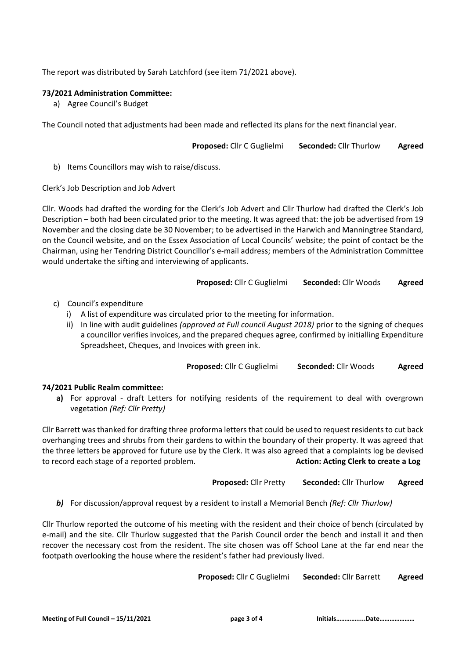The report was distributed by Sarah Latchford (see item 71/2021 above).

# **73/2021 Administration Committee:**

a) Agree Council's Budget

The Council noted that adjustments had been made and reflected its plans for the next financial year.

```
Proposed: Cllr C Guglielmi Seconded: Cllr Thurlow Agreed
```
b) Items Councillors may wish to raise/discuss.

Clerk's Job Description and Job Advert

Cllr. Woods had drafted the wording for the Clerk's Job Advert and Cllr Thurlow had drafted the Clerk's Job Description – both had been circulated prior to the meeting. It was agreed that: the job be advertised from 19 November and the closing date be 30 November; to be advertised in the Harwich and Manningtree Standard, on the Council website, and on the Essex Association of Local Councils' website; the point of contact be the Chairman, using her Tendring District Councillor's e-mail address; members of the Administration Committee would undertake the sifting and interviewing of applicants.

**Proposed:** Cllr C Guglielmi **Seconded:** Cllr Woods **Agreed**

- c) Council's expenditure
	- i) A list of expenditure was circulated prior to the meeting for information.
	- ii) In line with audit guidelines *(approved at Full council August 2018)* prior to the signing of cheques a councillor verifies invoices, and the prepared cheques agree, confirmed by initialling Expenditure Spreadsheet, Cheques, and Invoices with green ink.

**Proposed:** Cllr C Guglielmi **Seconded:** Cllr Woods **Agreed**

## **74/2021 Public Realm committee:**

**a)** For approval - draft Letters for notifying residents of the requirement to deal with overgrown vegetation *(Ref: Cllr Pretty)*

Cllr Barrett was thanked for drafting three proforma letters that could be used to request residents to cut back overhanging trees and shrubs from their gardens to within the boundary of their property. It was agreed that the three letters be approved for future use by the Clerk. It was also agreed that a complaints log be devised to record each stage of a reported problem. **Action: Acting Clerk to create a Log**

**Proposed:** Cllr Pretty **Seconded:** Cllr Thurlow **Agreed**

*b)* For discussion/approval request by a resident to install a Memorial Bench *(Ref: Cllr Thurlow)*

Cllr Thurlow reported the outcome of his meeting with the resident and their choice of bench (circulated by e-mail) and the site. Cllr Thurlow suggested that the Parish Council order the bench and install it and then recover the necessary cost from the resident. The site chosen was off School Lane at the far end near the footpath overlooking the house where the resident's father had previously lived.

**Proposed:** Cllr C Guglielmi **Seconded:** Cllr Barrett **Agreed**